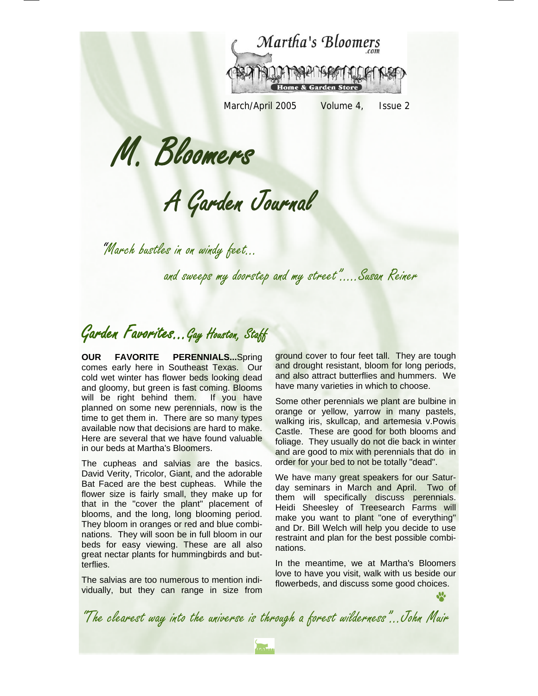

March/April 2005 Volume 4, Issue 2

M. Bloomers

A Garden Journal

"March bustles in on windy feet…

and sweeps my doorstep and my street"…..Susan Reiner

Garden Favorites...Gay Houston, Staff

**OUR FAVORITE PERENNIALS...**Spring comes early here in Southeast Texas. Our cold wet winter has flower beds looking dead and gloomy, but green is fast coming. Blooms will be right behind them. If you have planned on some new perennials, now is the time to get them in. There are so many types available now that decisions are hard to make. Here are several that we have found valuable in our beds at Martha's Bloomers.

The cupheas and salvias are the basics. David Verity, Tricolor, Giant, and the adorable Bat Faced are the best cupheas. While the flower size is fairly small, they make up for that in the "cover the plant" placement of blooms, and the long, long blooming period. They bloom in oranges or red and blue combinations. They will soon be in full bloom in our beds for easy viewing. These are all also great nectar plants for hummingbirds and butterflies.

The salvias are too numerous to mention individually, but they can range in size from

ground cover to four feet tall. They are tough and drought resistant, bloom for long periods, and also attract butterflies and hummers. We have many varieties in which to choose.

Some other perennials we plant are bulbine in orange or yellow, yarrow in many pastels, walking iris, skullcap, and artemesia v.Powis Castle. These are good for both blooms and foliage. They usually do not die back in winter and are good to mix with perennials that do in order for your bed to not be totally "dead".

We have many great speakers for our Saturday seminars in March and April. Two of them will specifically discuss perennials. Heidi Sheesley of Treesearch Farms will make you want to plant "one of everything" and Dr. Bill Welch will help you decide to use restraint and plan for the best possible combinations.

In the meantime, we at Martha's Bloomers love to have you visit, walk with us beside our flowerbeds, and discuss some good choices.

J.

"The clearest way into the universe is through a forest wilderness"...John Muir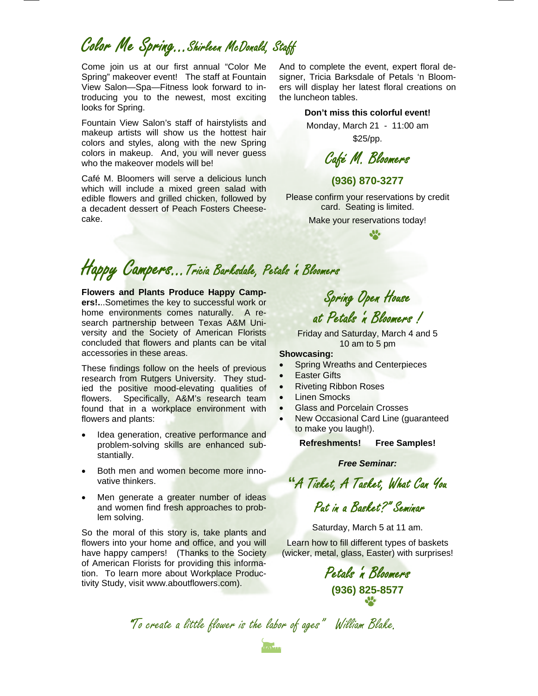Color Me Spring...Shirleen McDonald, Staff

Come join us at our first annual "Color Me Spring" makeover event! The staff at Fountain View Salon—Spa—Fitness look forward to introducing you to the newest, most exciting looks for Spring.

Fountain View Salon's staff of hairstylists and makeup artists will show us the hottest hair colors and styles, along with the new Spring colors in makeup. And, you will never guess who the makeover models will be!

Café M. Bloomers will serve a delicious lunch which will include a mixed green salad with edible flowers and grilled chicken, followed by a decadent dessert of Peach Fosters Cheesecake.

And to complete the event, expert floral designer, Tricia Barksdale of Petals 'n Bloomers will display her latest floral creations on the luncheon tables.

#### **Don't miss this colorful event!**

Monday, March 21 - 11:00 am \$25/pp.

Café M. Bloomers

#### **(936) 870-3277**

Please confirm your reservations by credit card. Seating is limited. Make your reservations today!

J.

Happy Campers...Tricia Barksdale, Petals 'n Bloomers

**Flowers and Plants Produce Happy Campers!.**..Sometimes the key to successful work or home environments comes naturally. A research partnership between Texas A&M University and the Society of American Florists concluded that flowers and plants can be vital accessories in these areas.

These findings follow on the heels of previous research from Rutgers University. They studied the positive mood-elevating qualities of flowers. Specifically, A&M's research team found that in a workplace environment with flowers and plants:

- Idea generation, creative performance and problem-solving skills are enhanced substantially.
- Both men and women become more innovative thinkers.
- Men generate a greater number of ideas and women find fresh approaches to problem solving.

So the moral of this story is, take plants and flowers into your home and office, and you will have happy campers! (Thanks to the Society of American Florists for providing this information. To learn more about Workplace Productivity Study, visit www.aboutflowers.com).

Spring Open House at Petals 'n Bloomers !

Friday and Saturday, March 4 and 5 10 am to 5 pm

#### **Showcasing:**

- **Spring Wreaths and Centerpieces**
- **Easter Gifts**
- Riveting Ribbon Roses
- **Linen Smocks**
- Glass and Porcelain Crosses
- New Occasional Card Line (guaranteed to make you laugh!).

**Refreshments! Free Samples!** 

*Free Seminar:* 

**"**A Tisket, A Tasket, What Can You

Put in a Basket?" Seminar

Saturday, March 5 at 11 am.

Learn how to fill different types of baskets (wicker, metal, glass, Easter) with surprises!

> Petals 'n Bloomers **(936) 825-8577**

"To create a little flower is the labor of ages" William Blake.

**Indian**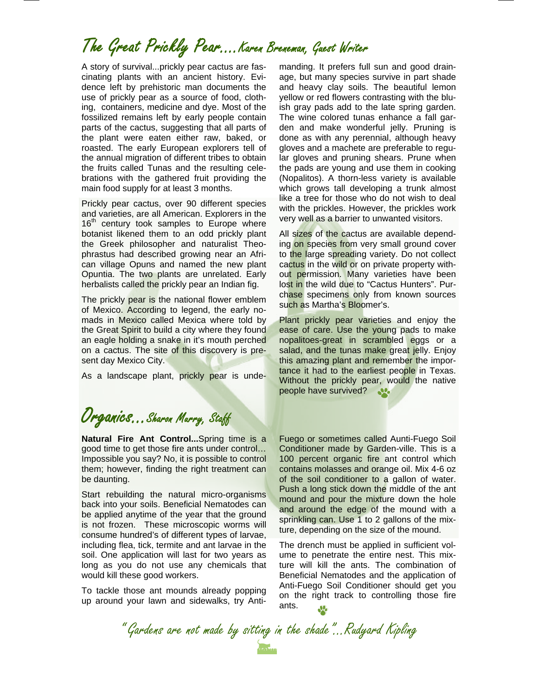## The Great Prickly Pear….Karen Breneman, Guest Writer

A story of survival...prickly pear cactus are fascinating plants with an ancient history. Evidence left by prehistoric man documents the use of prickly pear as a source of food, clothing, containers, medicine and dye. Most of the fossilized remains left by early people contain parts of the cactus, suggesting that all parts of the plant were eaten either raw, baked, or roasted. The early European explorers tell of the annual migration of different tribes to obtain the fruits called Tunas and the resulting celebrations with the gathered fruit providing the main food supply for at least 3 months.

Prickly pear cactus, over 90 different species and varieties, are all American. Explorers in the  $16<sup>th</sup>$  century took samples to Europe where botanist likened them to an odd prickly plant the Greek philosopher and naturalist Theophrastus had described growing near an African village Opuns and named the new plant Opuntia. The two plants are unrelated. Early herbalists called the prickly pear an Indian fig.

The prickly pear is the national flower emblem of Mexico. According to legend, the early nomads in Mexico called Mexica where told by the Great Spirit to build a city where they found an eagle holding a snake in it's mouth perched on a cactus. The site of this discovery is present day Mexico City.

As a landscape plant, prickly pear is unde-

manding. It prefers full sun and good drainage, but many species survive in part shade and heavy clay soils. The beautiful lemon yellow or red flowers contrasting with the bluish gray pads add to the late spring garden. The wine colored tunas enhance a fall garden and make wonderful jelly. Pruning is done as with any perennial, although heavy gloves and a machete are preferable to regular gloves and pruning shears. Prune when the pads are young and use them in cooking (Nopalitos). A thorn-less variety is available which grows tall developing a trunk almost like a tree for those who do not wish to deal with the prickles. However, the prickles work very well as a barrier to unwanted visitors.

All sizes of the cactus are available depending on species from very small ground cover to the large spreading variety. Do not collect cactus in the wild or on private property without permission. Many varieties have been lost in the wild due to "Cactus Hunters". Purchase specimens only from known sources such as Martha's Bloomer's.

Plant prickly pear varieties and enjoy the ease of care. Use the young pads to make nopalitoes-great in scrambled eggs or a salad, and the tunas make great jelly. Enjoy this amazing plant and remember the importance it had to the earliest people in Texas. Without the prickly pear, would the native people have survived? ...

### Organics...Sharon Murry, Staff

**Natural Fire Ant Control...**Spring time is a good time to get those fire ants under control… Impossible you say? No, it is possible to control them; however, finding the right treatment can be daunting.

Start rebuilding the natural micro-organisms back into your soils. Beneficial Nematodes can be applied anytime of the year that the ground is not frozen. These microscopic worms will consume hundred's of different types of larvae, including flea, tick, termite and ant larvae in the soil. One application will last for two years as long as you do not use any chemicals that would kill these good workers.

To tackle those ant mounds already popping up around your lawn and sidewalks, try Anti-

Fuego or sometimes called Aunti-Fuego Soil Conditioner made by Garden-ville. This is a 100 percent organic fire ant control which contains molasses and orange oil. Mix 4-6 oz of the soil conditioner to a gallon of water. Push a long stick down the middle of the ant mound and pour the mixture down the hole and around the edge of the mound with a sprinkling can. Use 1 to 2 gallons of the mixture, depending on the size of the mound.

The drench must be applied in sufficient volume to penetrate the entire nest. This mixture will kill the ants. The combination of Beneficial Nematodes and the application of Anti-Fuego Soil Conditioner should get you on the right track to controlling those fire ants.

" Gardens are not made by sitting in the shade"...Rudyard Kipling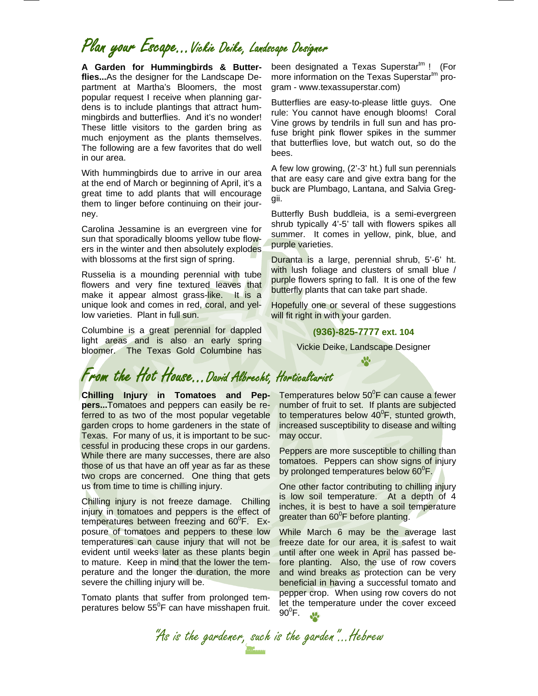### Plan your Escape...Vickie Deike, Landscape Designer

**A Garden for Hummingbirds & Butterflies...**As the designer for the Landscape Department at Martha's Bloomers, the most popular request I receive when planning gardens is to include plantings that attract hummingbirds and butterflies. And it's no wonder! These little visitors to the garden bring as much enjoyment as the plants themselves. The following are a few favorites that do well in our area.

With hummingbirds due to arrive in our area at the end of March or beginning of April, it's a great time to add plants that will encourage them to linger before continuing on their journey.

Carolina Jessamine is an evergreen vine for sun that sporadically blooms yellow tube flowers in the winter and then absolutely explodes with blossoms at the first sign of spring.

Russelia is a mounding perennial with tube flowers and very fine textured leaves that make it appear almost grass-like. It is a unique look and comes in red, coral, and yellow varieties. Plant in full sun.

Columbine is a great perennial for dappled light areas and is also an early spring bloomer. The Texas Gold Columbine has

From the Hot House...David Albrecht, Horticulturist

**Chilling Injury in Tomatoes and Peppers...**Tomatoes and peppers can easily be referred to as two of the most popular vegetable garden crops to home gardeners in the state of Texas. For many of us, it is important to be successful in producing these crops in our gardens. While there are many successes, there are also those of us that have an off year as far as these two crops are concerned. One thing that gets us from time to time is chilling injury.

Chilling injury is not freeze damage. Chilling injury in tomatoes and peppers is the effect of temperatures between freezing and 60°F. Exposure of tomatoes and peppers to these low temperatures can cause injury that will not be evident until weeks later as these plants begin to mature. Keep in mind that the lower the temperature and the longer the duration, the more severe the chilling injury will be.

Tomato plants that suffer from prolonged temperatures below  $55^{\circ}$ F can have misshapen fruit.

been designated a Texas Superstar<sup>tm</sup> ! (For more information on the Texas Superstar<sup>tm</sup> program - www.texassuperstar.com)

Butterflies are easy-to-please little guys. One rule: You cannot have enough blooms! Coral Vine grows by tendrils in full sun and has profuse bright pink flower spikes in the summer that butterflies love, but watch out, so do the bees.

A few low growing, (2'-3' ht.) full sun perennials that are easy care and give extra bang for the buck are Plumbago, Lantana, and Salvia Greggii.

Butterfly Bush buddleia, is a semi-evergreen shrub typically 4'-5' tall with flowers spikes all summer. It comes in yellow, pink, blue, and purple varieties.

Duranta is a large, perennial shrub, 5'-6' ht. with lush foliage and clusters of small blue / purple flowers spring to fall. It is one of the few butterfly plants that can take part shade.

Hopefully one or several of these suggestions will fit right in with your garden.

#### **(936)-825-7777 ext. 104**

Vickie Deike, Landscape Designer J.

Temperatures below 50<sup>°</sup>F can cause a fewer number of fruit to set. If plants are subjected to temperatures below  $40^{\circ}$ F, stunted growth, increased susceptibility to disease and wilting may occur.

Peppers are more susceptible to chilling than tomatoes. Peppers can show signs of injury by prolonged temperatures below 60<sup>°</sup>F.

One other factor contributing to chilling injury is low soil temperature. At a depth of 4 inches, it is best to have a soil temperature greater than  $60^{\circ}$ F before planting.

While March 6 may be the average last freeze date for our area, it is safest to wait until after one week in April has passed before planting. Also, the use of row covers and wind breaks as protection can be very beneficial in having a successful tomato and pepper crop. When using row covers do not let the temperature under the cover exceed  $90^0$ F.  $\mathbf{M}_{\bullet}$ 

"As is the gardener, such is the garden"...Hebrew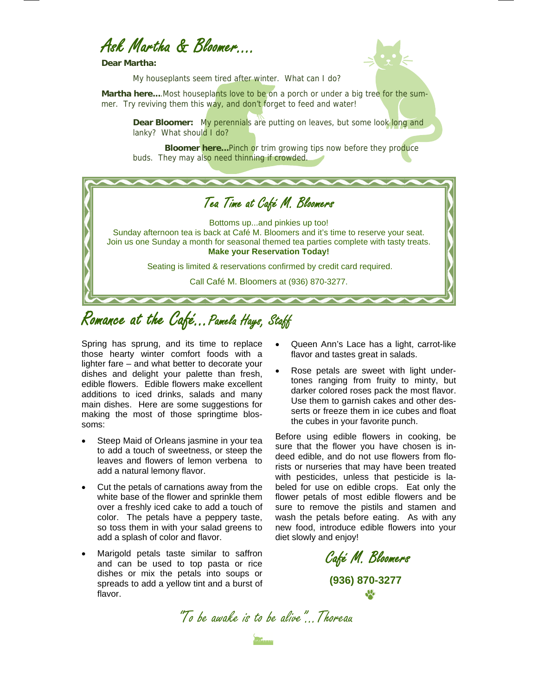### Ask Martha & Bloomer….

**Dear Martha:** 



My houseplants seem tired after winter. What can I do?

**Martha here....** Most houseplants love to be on a porch or under a big tree for the summer. Try reviving them this way, and don't forget to feed and water!

**Dear Bloomer:** My perennials are putting on leaves, but some look long and lanky? What should I do?

**Bloomer here...**Pinch or trim growing tips now before they produce buds. They may also need thinning if crowded.



## Romance at the Café...Pamela Hays, Staff

Spring has sprung, and its time to replace those hearty winter comfort foods with a lighter fare – and what better to decorate your dishes and delight your palette than fresh, edible flowers. Edible flowers make excellent additions to iced drinks, salads and many main dishes. Here are some suggestions for making the most of those springtime blossoms:

- Steep Maid of Orleans jasmine in your tea to add a touch of sweetness, or steep the leaves and flowers of lemon verbena to add a natural lemony flavor.
- Cut the petals of carnations away from the white base of the flower and sprinkle them over a freshly iced cake to add a touch of color. The petals have a peppery taste, so toss them in with your salad greens to add a splash of color and flavor.
- Marigold petals taste similar to saffron and can be used to top pasta or rice dishes or mix the petals into soups or spreads to add a yellow tint and a burst of flavor.
- Queen Ann's Lace has a light, carrot-like flavor and tastes great in salads.
- Rose petals are sweet with light undertones ranging from fruity to minty, but darker colored roses pack the most flavor. Use them to garnish cakes and other desserts or freeze them in ice cubes and float the cubes in your favorite punch.

Before using edible flowers in cooking, be sure that the flower you have chosen is indeed edible, and do not use flowers from florists or nurseries that may have been treated with pesticides, unless that pesticide is labeled for use on edible crops. Eat only the flower petals of most edible flowers and be sure to remove the pistils and stamen and wash the petals before eating. As with any new food, introduce edible flowers into your diet slowly and enjoy!

Café M. Bloomers **(936) 870-3277** 

"To be awake is to be alive." Thoreau